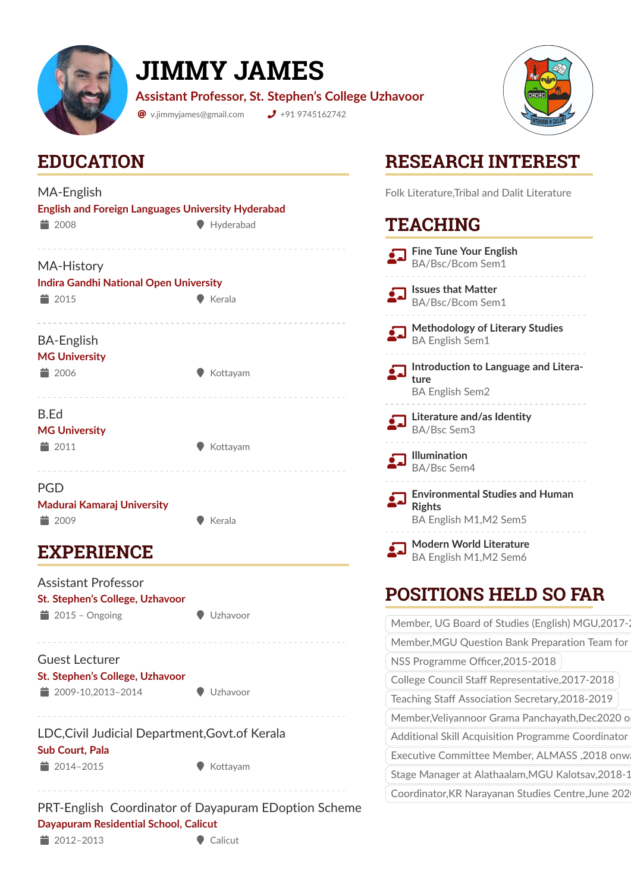

# **JIMMY JAMES**

**Assistant Professor, St. Stephen's College Uzhavoor**

 $\bullet$  v.jimmyjames@gmail.com  $\bullet$  +91 9745162742



### **EDUCATION**

| MA-English<br><b>English and Foreign Languages University Hyderabad</b>                   |                  |  |
|-------------------------------------------------------------------------------------------|------------------|--|
| $\equiv$ 2008                                                                             | Hyderabad        |  |
| <b>MA-History</b><br><b>Indira Gandhi National Open University</b><br>■ 2015              | $\bullet$ Kerala |  |
| <b>BA-English</b><br><b>MG University</b><br>■ 2006                                       | Kottayam         |  |
| B.Ed<br><b>MG University</b><br>■ 2011                                                    | Kottayam         |  |
| <b>PGD</b><br>Madurai Kamaraj University<br>■ 2009                                        | Kerala           |  |
| <b>EXPERIENCE</b>                                                                         |                  |  |
| <b>Assistant Professor</b><br>St. Stephen's College, Uzhavoor<br>$\bullet$ 2015 - Ongoing | Uzhavoor         |  |
| Guest Lecturer<br>St. Stephen's College, Uzhavoor<br>■ 2009-10,2013-2014                  | Uzhavoor         |  |
| LDC, Civil Judicial Department, Govt. of Kerala<br>Sub Court, Pala<br>■ 2014-2015         | Kottayam         |  |
|                                                                                           |                  |  |

## **RESEARCH INTEREST**

Folk Literature,Tribal and Dalit Literature

#### **TEACHING**

| <b>Fine Tune Your English</b><br>BA/Bsc/Bcom Sem1                                 |
|-----------------------------------------------------------------------------------|
| <b>Issues that Matter</b><br>BA/Bsc/Bcom Sem1                                     |
| Methodology of Literary Studies<br><b>BA English Sem1</b>                         |
| Introduction to Language and Litera-<br>ture<br><b>BA English Sem2</b>            |
| Literature and/as Identity<br>BA/Bsc Sem3                                         |
| <b>Illumination</b><br>BA/Bsc Sem4                                                |
| <b>Environmental Studies and Human</b><br><b>Rights</b><br>BA English M1, M2 Sem5 |
| <b>Modern World Literature</b><br>BA English M1, M2 Sem6                          |
| <b>POSITIONS HELD SO FAR</b>                                                      |
|                                                                                   |

| Member, UG Board of Studies (English) MGU, 2017-1  |
|----------------------------------------------------|
| Member, MGU Question Bank Preparation Team for     |
| NSS Programme Officer, 2015-2018                   |
| College Council Staff Representative, 2017-2018    |
| Teaching Staff Association Secretary, 2018-2019    |
| Member, Veliyannoor Grama Panchayath, Dec2020 o    |
| Additional Skill Acquisition Programme Coordinator |
| Executive Committee Member, ALMASS, 2018 onw.      |
| Stage Manager at Alathaalam, MGU Kalotsav, 2018-1  |
| Coordinator, KR Narayanan Studies Centre, June 202 |
|                                                    |

PRT-English Coordinator of Dayapuram EDoption Scheme **Dayapuram Residential School, Calicut**  $\bullet$  2012–2013  $\bullet$  Calicut